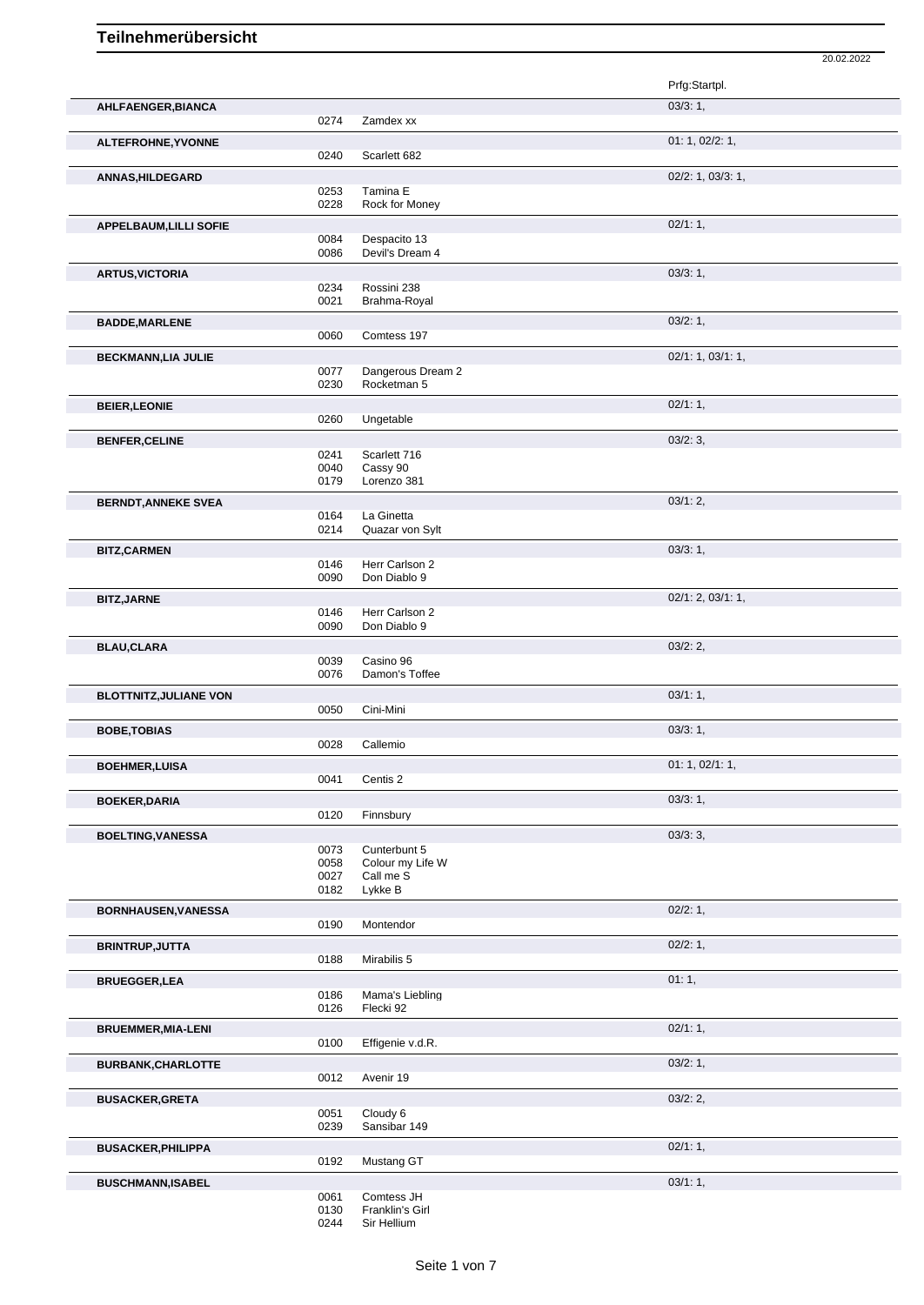|                               |              |                                  | Prfg:Startpl.     |
|-------------------------------|--------------|----------------------------------|-------------------|
| AHLFAENGER, BIANCA            |              |                                  | 03/3:1,           |
|                               | 0274         | Zamdex xx                        |                   |
| ALTEFROHNE, YVONNE            |              |                                  | 01: 1, 02/2: 1,   |
|                               | 0240         | Scarlett 682                     |                   |
| <b>ANNAS, HILDEGARD</b>       |              |                                  | 02/2: 1, 03/3: 1, |
|                               | 0253<br>0228 | Tamina E<br>Rock for Money       |                   |
| APPELBAUM, LILLI SOFIE        |              |                                  | 02/1:1,           |
|                               | 0084         | Despacito 13                     |                   |
|                               | 0086         | Devil's Dream 4                  |                   |
| <b>ARTUS, VICTORIA</b>        |              |                                  | 03/3:1,           |
|                               | 0234         | Rossini 238                      |                   |
|                               | 0021         | Brahma-Royal                     |                   |
| <b>BADDE, MARLENE</b>         |              |                                  | 03/2:1,           |
|                               | 0060         | Comtess 197                      |                   |
| <b>BECKMANN,LIA JULIE</b>     |              |                                  | 02/1: 1, 03/1: 1, |
|                               | 0077<br>0230 | Dangerous Dream 2<br>Rocketman 5 |                   |
| <b>BEIER, LEONIE</b>          |              |                                  | $02/1:1$ ,        |
|                               | 0260         | Ungetable                        |                   |
|                               |              |                                  | 03/2:3,           |
| <b>BENFER, CELINE</b>         | 0241         | Scarlett 716                     |                   |
|                               | 0040         | Cassy 90                         |                   |
|                               | 0179         | Lorenzo 381                      |                   |
| <b>BERNDT, ANNEKE SVEA</b>    |              |                                  | 03/1:2,           |
|                               | 0164<br>0214 | La Ginetta<br>Quazar von Sylt    |                   |
|                               |              |                                  |                   |
| <b>BITZ, CARMEN</b>           | 0146         | Herr Carlson 2                   | 03/3:1,           |
|                               | 0090         | Don Diablo 9                     |                   |
| <b>BITZ, JARNE</b>            |              |                                  | 02/1: 2, 03/1: 1, |
|                               | 0146         | Herr Carlson 2                   |                   |
|                               | 0090         | Don Diablo 9                     |                   |
| <b>BLAU,CLARA</b>             |              |                                  | 03/2:2,           |
|                               | 0039<br>0076 | Casino 96<br>Damon's Toffee      |                   |
|                               |              |                                  |                   |
| <b>BLOTTNITZ, JULIANE VON</b> | 0050         | Cini-Mini                        | 03/1:1,           |
|                               |              |                                  |                   |
| <b>BOBE, TOBIAS</b>           | 0028         | Callemio                         | 03/3:1,           |
|                               |              |                                  | 01: 1, 02/1: 1,   |
| <b>BOEHMER,LUISA</b>          | 0041         | Centis 2                         |                   |
| <b>BOEKER, DARIA</b>          |              |                                  | 03/3:1,           |
|                               | 0120         | Finnsbury                        |                   |
| <b>BOELTING, VANESSA</b>      |              |                                  | 03/3:3,           |
|                               | 0073         | Cunterbunt 5                     |                   |
|                               | 0058         | Colour my Life W                 |                   |
|                               | 0027<br>0182 | Call me S<br>Lykke B             |                   |
|                               |              |                                  |                   |
| BORNHAUSEN, VANESSA           | 0190         | Montendor                        | 02/2: 1,          |
|                               |              |                                  |                   |
| <b>BRINTRUP, JUTTA</b>        | 0188         | Mirabilis 5                      | 02/2: 1,          |
|                               |              |                                  | 01:1,             |
| <b>BRUEGGER,LEA</b>           | 0186         | Mama's Liebling                  |                   |
|                               | 0126         | Flecki 92                        |                   |
| <b>BRUEMMER, MIA-LENI</b>     |              |                                  | 02/1:1,           |
|                               | 0100         | Effigenie v.d.R.                 |                   |
| <b>BURBANK, CHARLOTTE</b>     |              |                                  | 03/2:1,           |
|                               | 0012         | Avenir 19                        |                   |
| <b>BUSACKER,GRETA</b>         |              |                                  | 03/2:2,           |
|                               | 0051         | Cloudy 6                         |                   |
|                               | 0239         | Sansibar 149                     |                   |
| <b>BUSACKER, PHILIPPA</b>     |              |                                  | 02/1:1,           |
|                               | 0192         | Mustang GT                       |                   |
| <b>BUSCHMANN, ISABEL</b>      |              |                                  | 03/1:1,           |

20.02.2022

0061 Comtess JH<br>0130 Franklin's Gir 0130 Franklin's Girl

0244 Sir Hellium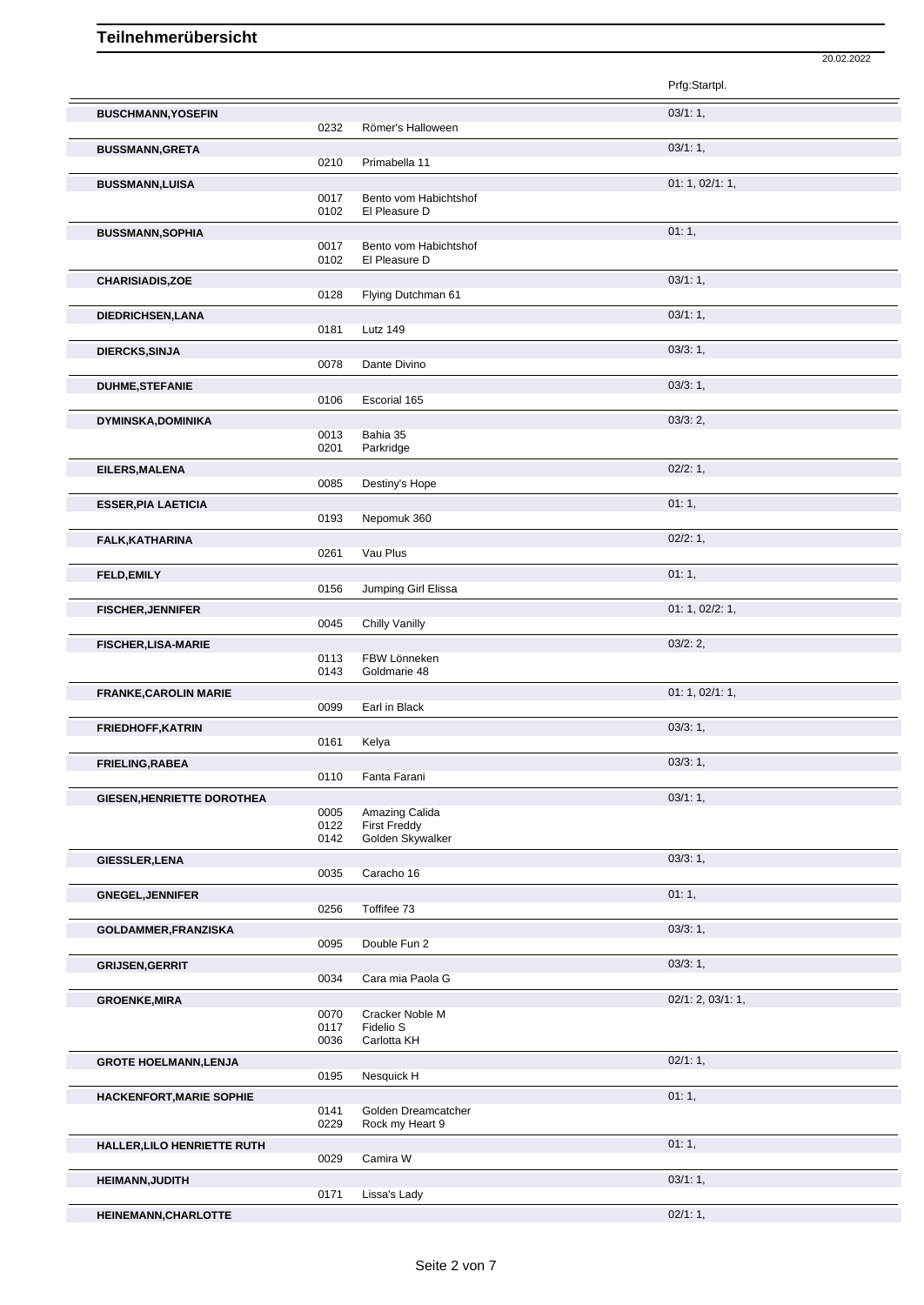|                                   |              |                                        | 20.02.2022        |  |
|-----------------------------------|--------------|----------------------------------------|-------------------|--|
|                                   |              |                                        | Prfg:Startpl.     |  |
| <b>BUSCHMANN, YOSEFIN</b>         |              |                                        | 03/1:1,           |  |
|                                   | 0232         | Römer's Halloween                      |                   |  |
| <b>BUSSMANN, GRETA</b>            | 0210         | Primabella 11                          | 03/1:1,           |  |
| <b>BUSSMANN,LUISA</b>             |              |                                        | 01: 1, 02/1: 1,   |  |
|                                   | 0017         | Bento vom Habichtshof                  |                   |  |
|                                   | 0102         | El Pleasure D                          | 01:1,             |  |
| <b>BUSSMANN, SOPHIA</b>           | 0017         | Bento vom Habichtshof                  |                   |  |
|                                   | 0102         | El Pleasure D                          |                   |  |
| <b>CHARISIADIS, ZOE</b>           | 0128         | Flying Dutchman 61                     | 03/1:1,           |  |
| DIEDRICHSEN, LANA                 |              |                                        | 03/1:1,           |  |
|                                   | 0181         | <b>Lutz 149</b>                        |                   |  |
| <b>DIERCKS, SINJA</b>             | 0078         | Dante Divino                           | 03/3:1,           |  |
|                                   |              |                                        | 03/3:1,           |  |
| <b>DUHME, STEFANIE</b>            | 0106         | Escorial 165                           |                   |  |
| <b>DYMINSKA, DOMINIKA</b>         |              |                                        | 03/3:2,           |  |
|                                   | 0013<br>0201 | Bahia 35<br>Parkridge                  |                   |  |
| EILERS, MALENA                    |              |                                        | 02/2:1,           |  |
|                                   | 0085         | Destiny's Hope                         |                   |  |
| <b>ESSER, PIA LAETICIA</b>        | 0193         | Nepomuk 360                            | 01:1,             |  |
| FALK, KATHARINA                   |              |                                        | 02/2:1,           |  |
|                                   | 0261         | Vau Plus                               |                   |  |
| <b>FELD, EMILY</b>                |              |                                        | 01:1,             |  |
|                                   | 0156         | Jumping Girl Elissa                    | 01: 1, 02/2: 1,   |  |
| <b>FISCHER, JENNIFER</b>          | 0045         | <b>Chilly Vanilly</b>                  |                   |  |
| <b>FISCHER, LISA-MARIE</b>        |              |                                        | 03/2:2,           |  |
|                                   | 0113<br>0143 | FBW Lönneken<br>Goldmarie 48           |                   |  |
| <b>FRANKE, CAROLIN MARIE</b>      |              |                                        | 01: 1, 02/1: 1,   |  |
|                                   | 0099         | Earl in Black                          |                   |  |
| <b>FRIEDHOFF, KATRIN</b>          | 0161         | Kelya                                  | $03/3:1$ ,        |  |
| FRIELING, RABEA                   |              |                                        | 03/3:1,           |  |
|                                   | 0110         | Fanta Farani                           |                   |  |
| <b>GIESEN, HENRIETTE DOROTHEA</b> | 0005         | Amazing Calida                         | 03/1:1,           |  |
|                                   | 0122         | <b>First Freddy</b>                    |                   |  |
|                                   | 0142         | Golden Skywalker                       | 03/3:1,           |  |
| <b>GIESSLER, LENA</b>             | 0035         | Caracho 16                             |                   |  |
| <b>GNEGEL, JENNIFER</b>           |              |                                        | 01:1,             |  |
|                                   | 0256         | Toffifee 73                            |                   |  |
| GOLDAMMER, FRANZISKA              | 0095         | Double Fun 2                           | 03/3:1,           |  |
| <b>GRIJSEN, GERRIT</b>            |              |                                        | 03/3:1,           |  |
|                                   | 0034         | Cara mia Paola G                       |                   |  |
| <b>GROENKE, MIRA</b>              | 0070         | Cracker Noble M                        | 02/1: 2, 03/1: 1, |  |
|                                   | 0117         | Fidelio S                              |                   |  |
|                                   | 0036         | Carlotta KH                            | 02/1:1,           |  |
| <b>GROTE HOELMANN, LENJA</b>      | 0195         | Nesquick H                             |                   |  |
| HACKENFORT, MARIE SOPHIE          |              |                                        | 01:1,             |  |
|                                   | 0141<br>0229 | Golden Dreamcatcher<br>Rock my Heart 9 |                   |  |
| HALLER, LILO HENRIETTE RUTH       |              |                                        | 01:1,             |  |
|                                   | 0029         | Camira W                               |                   |  |
| <b>HEIMANN, JUDITH</b>            | 0171         | Lissa's Lady                           | 03/1:1,           |  |
| HEINEMANN, CHARLOTTE              |              |                                        | 02/1:1,           |  |
|                                   |              |                                        |                   |  |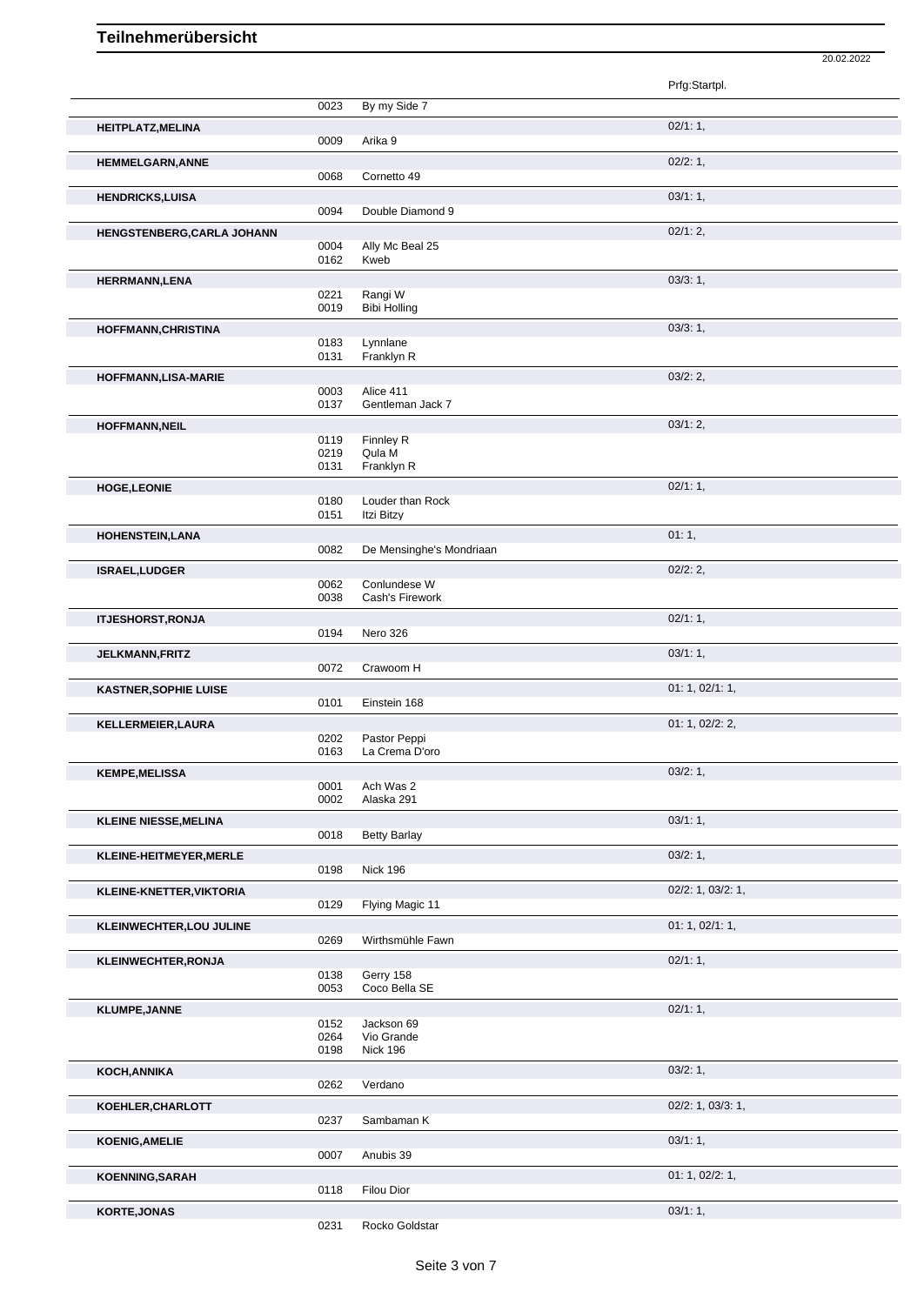20.02.2022

|                              |              |                                | Prfg:Startpl.     |
|------------------------------|--------------|--------------------------------|-------------------|
|                              | 0023         | By my Side 7                   |                   |
| HEITPLATZ, MELINA            |              |                                | 02/1:1,           |
|                              | 0009         | Arika 9                        |                   |
| <b>HEMMELGARN, ANNE</b>      | 0068         | Cornetto 49                    | 02/2: 1,          |
| <b>HENDRICKS,LUISA</b>       |              |                                | 03/1:1,           |
|                              | 0094         | Double Diamond 9               |                   |
| HENGSTENBERG, CARLA JOHANN   |              |                                | 02/1:2,           |
|                              | 0004<br>0162 | Ally Mc Beal 25<br>Kweb        |                   |
| <b>HERRMANN,LENA</b>         |              |                                | 03/3:1,           |
|                              | 0221         | Rangi W                        |                   |
|                              | 0019         | <b>Bibi Holling</b>            |                   |
| <b>HOFFMANN, CHRISTINA</b>   | 0183         | Lynnlane                       | 03/3:1,           |
|                              | 0131         | Franklyn R                     |                   |
| <b>HOFFMANN,LISA-MARIE</b>   |              |                                | 03/2:2            |
|                              | 0003<br>0137 | Alice 411<br>Gentleman Jack 7  |                   |
| HOFFMANN, NEIL               |              |                                | 03/1:2,           |
|                              | 0119         | Finnley R                      |                   |
|                              | 0219<br>0131 | Qula M<br>Franklyn R           |                   |
| <b>HOGE,LEONIE</b>           |              |                                | 02/1:1,           |
|                              | 0180         | Louder than Rock               |                   |
|                              | 0151         | Itzi Bitzy                     |                   |
| HOHENSTEIN, LANA             | 0082         | De Mensinghe's Mondriaan       | 01:1,             |
| <b>ISRAEL,LUDGER</b>         |              |                                | 02/2:2,           |
|                              | 0062         | Conlundese W                   |                   |
|                              | 0038         | Cash's Firework                |                   |
| <b>ITJESHORST, RONJA</b>     | 0194         |                                | 02/1:1,           |
|                              |              | Nero 326                       | 03/1:1,           |
| <b>JELKMANN,FRITZ</b>        | 0072         | Crawoom H                      |                   |
|                              |              |                                |                   |
| <b>KASTNER, SOPHIE LUISE</b> |              |                                | 01: 1, 02/1: 1,   |
|                              | 0101         | Einstein 168                   |                   |
| KELLERMEIER, LAURA           |              |                                | 01: 1, 02/2: 2,   |
|                              | 0202<br>0163 | Pastor Peppi<br>La Crema D'oro |                   |
|                              |              |                                | 03/2:1,           |
| <b>KEMPE, MELISSA</b>        | 0001         | Ach Was 2                      |                   |
|                              | 0002         | Alaska 291                     |                   |
| <b>KLEINE NIESSE, MELINA</b> | 0018         | <b>Betty Barlay</b>            | 03/1:1,           |
|                              |              |                                |                   |
| KLEINE-HEITMEYER, MERLE      | 0198         | Nick 196                       | 03/2:1,           |
| KLEINE-KNETTER, VIKTORIA     |              |                                | 02/2: 1, 03/2: 1, |
|                              | 0129         | Flying Magic 11                |                   |
| KLEINWECHTER, LOU JULINE     |              |                                | 01: 1, 02/1: 1,   |
|                              | 0269         | Wirthsmühle Fawn               |                   |
| <b>KLEINWECHTER, RONJA</b>   | 0138         | Gerry 158                      | 02/1:1,           |
|                              | 0053         | Coco Bella SE                  |                   |
| <b>KLUMPE, JANNE</b>         |              |                                | 02/1:1,           |
|                              | 0152<br>0264 | Jackson 69<br>Vio Grande       |                   |
|                              | 0198         | <b>Nick 196</b>                |                   |
| KOCH, ANNIKA                 |              |                                | 03/2:1,           |
|                              | 0262         | Verdano                        |                   |
| KOEHLER, CHARLOTT            | 0237         | Sambaman K                     | 02/2: 1, 03/3: 1, |
| <b>KOENIG, AMELIE</b>        |              |                                | 03/1:1,           |
|                              | 0007         | Anubis 39                      |                   |
| KOENNING, SARAH              |              |                                | 01: 1, 02/2: 1,   |
| <b>KORTE, JONAS</b>          | 0118         | Filou Dior                     | 03/1:1,           |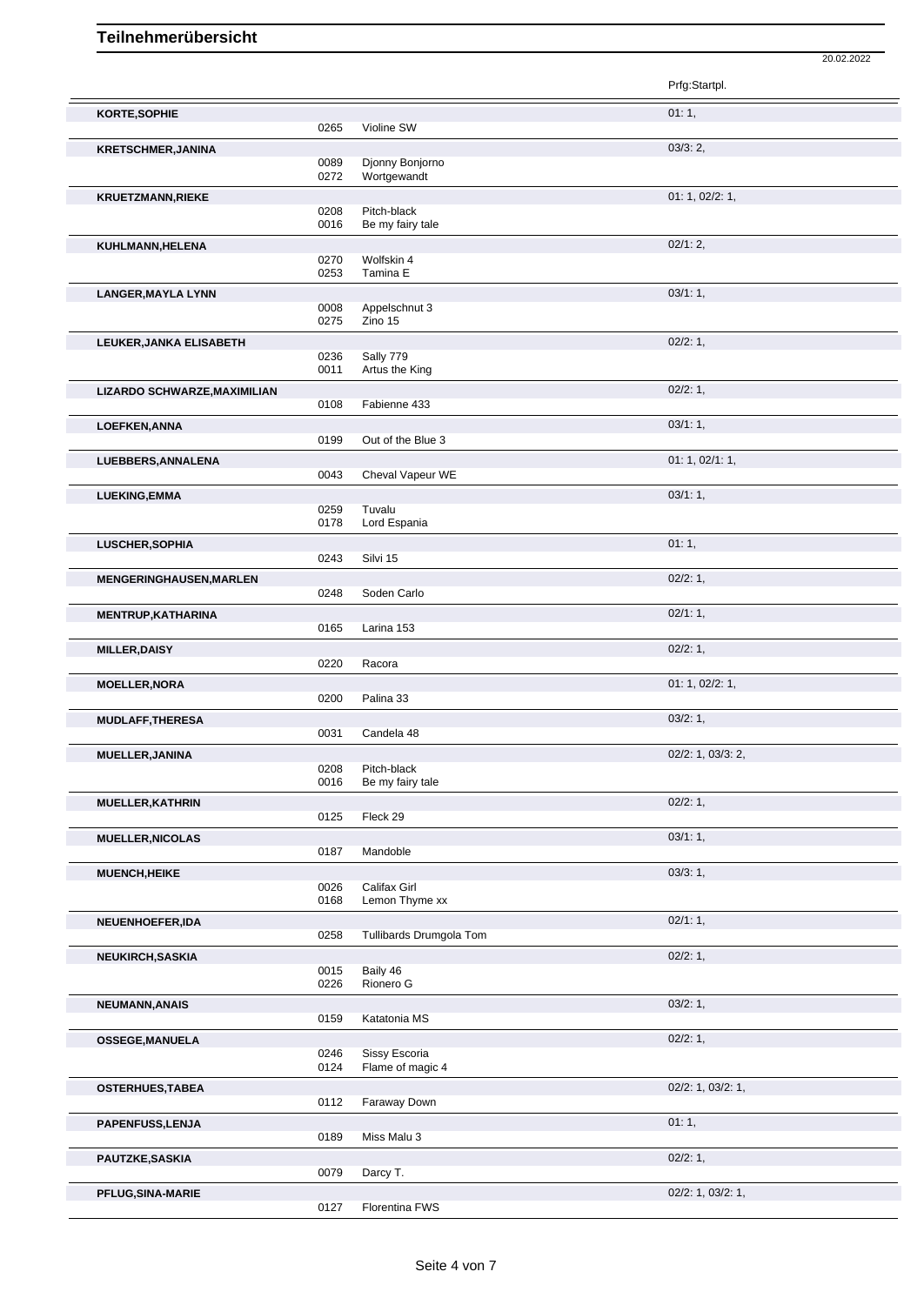|                                |              |                                 | Prfg:Startpl.     |
|--------------------------------|--------------|---------------------------------|-------------------|
| KORTE, SOPHIE                  | 0265         | Violine SW                      | 01:1,             |
| <b>KRETSCHMER, JANINA</b>      | 0089<br>0272 | Djonny Bonjorno<br>Wortgewandt  | 03/3:2,           |
| <b>KRUETZMANN, RIEKE</b>       |              |                                 | 01: 1, 02/2: 1,   |
|                                | 0208<br>0016 | Pitch-black<br>Be my fairy tale |                   |
| KUHLMANN, HELENA               |              |                                 | 02/1:2,           |
|                                | 0270<br>0253 | Wolfskin 4<br>Tamina E          |                   |
| <b>LANGER, MAYLA LYNN</b>      |              |                                 | 03/1:1,           |
|                                | 0008<br>0275 | Appelschnut 3<br>Zino 15        |                   |
| LEUKER, JANKA ELISABETH        | 0236         | Sally 779                       | 02/2:1,           |
|                                | 0011         | Artus the King                  |                   |
| LIZARDO SCHWARZE, MAXIMILIAN   | 0108         | Fabienne 433                    | 02/2:1,           |
| <b>LOEFKEN, ANNA</b>           |              |                                 | 03/1:1,           |
|                                | 0199         | Out of the Blue 3               |                   |
| LUEBBERS, ANNALENA             | 0043         | Cheval Vapeur WE                | 01: 1, 02/1: 1,   |
| <b>LUEKING, EMMA</b>           |              |                                 | 03/1:1,           |
|                                | 0259<br>0178 | Tuvalu<br>Lord Espania          |                   |
| LUSCHER, SOPHIA                |              |                                 | 01:1,             |
|                                | 0243         | Silvi 15                        |                   |
| <b>MENGERINGHAUSEN, MARLEN</b> | 0248         | Soden Carlo                     | 02/2:1,           |
| MENTRUP, KATHARINA             |              |                                 | 02/1:1,           |
|                                | 0165         | Larina 153                      |                   |
| <b>MILLER, DAISY</b>           | 0220         | Racora                          | 02/2: 1,          |
| <b>MOELLER, NORA</b>           |              |                                 | 01: 1, 02/2: 1,   |
|                                | 0200         | Palina 33                       |                   |
| <b>MUDLAFF, THERESA</b>        | 0031         | Candela 48                      | 03/2:1,           |
| <b>MUELLER, JANINA</b>         |              |                                 | 02/2: 1, 03/3: 2, |
|                                | 0208<br>0016 | Pitch-black<br>Be my fairy tale |                   |
| <b>MUELLER, KATHRIN</b>        | 0125         | Fleck 29                        | 02/2: 1,          |
| <b>MUELLER, NICOLAS</b>        |              |                                 | 03/1:1,           |
|                                | 0187         | Mandoble                        | 03/3:1,           |
| <b>MUENCH, HEIKE</b>           | 0026         | Califax Girl                    |                   |
|                                | 0168         | Lemon Thyme xx                  |                   |
| NEUENHOEFER, IDA               | 0258         | Tullibards Drumgola Tom         | 02/1:1,           |
| <b>NEUKIRCH, SASKIA</b>        |              |                                 | 02/2: 1,          |
|                                | 0015<br>0226 | Baily 46<br>Rionero G           |                   |
| NEUMANN, ANAIS                 |              |                                 | 03/2:1,           |
|                                | 0159         | Katatonia MS                    |                   |
| <b>OSSEGE, MANUELA</b>         | 0246         | Sissy Escoria                   | 02/2:1,           |
|                                | 0124         | Flame of magic 4                |                   |
| <b>OSTERHUES, TABEA</b>        | 0112         | Faraway Down                    | 02/2: 1, 03/2: 1, |
| PAPENFUSS, LENJA               |              |                                 | 01:1,             |
|                                | 0189         | Miss Malu 3                     |                   |
|                                |              |                                 |                   |
| PAUTZKE, SASKIA                | 0079         | Darcy T.                        | 02/2: 1,          |

20.02.2022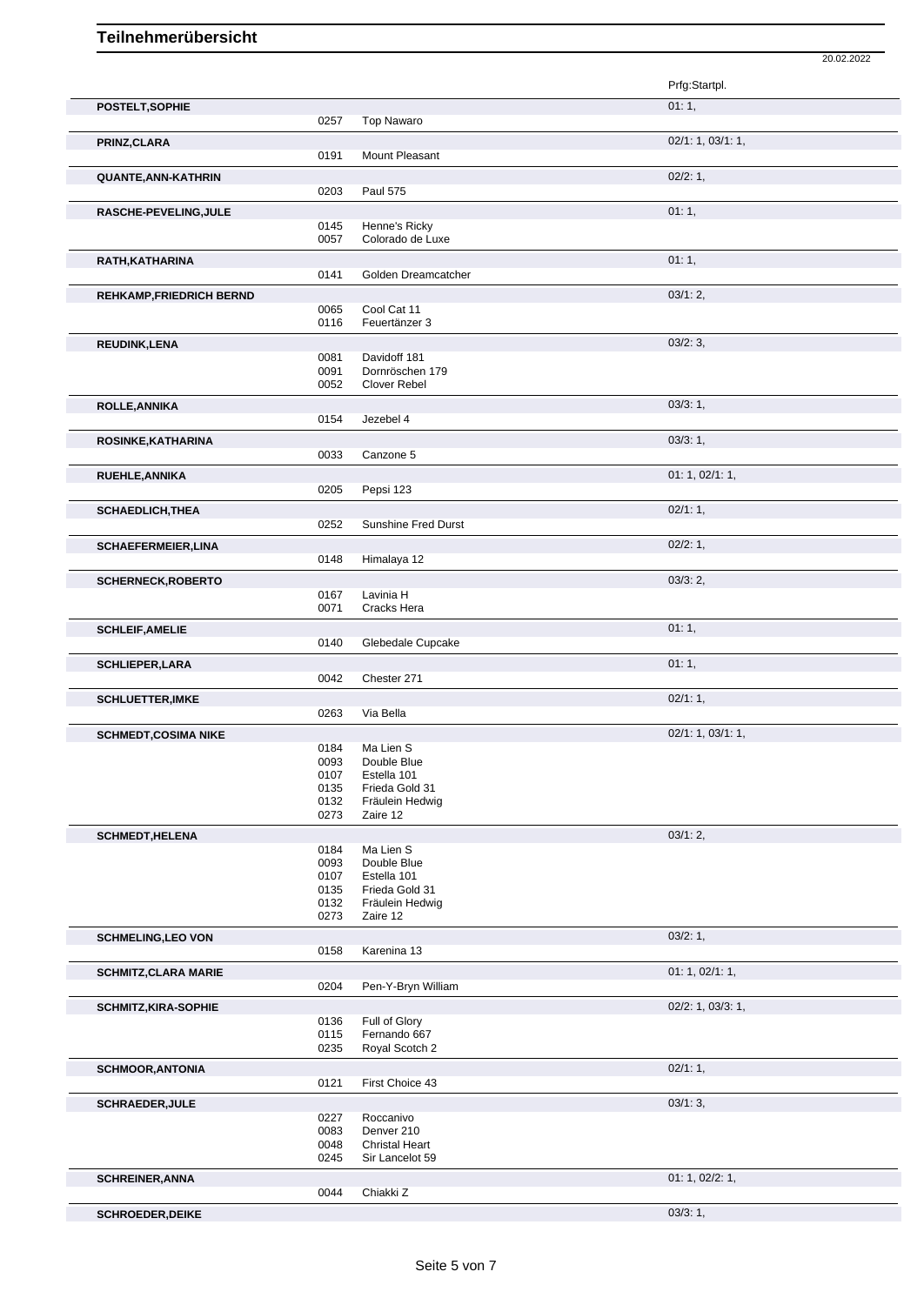|                                 |              |                                        | Prfg:Startpl.     |
|---------------------------------|--------------|----------------------------------------|-------------------|
| POSTELT, SOPHIE                 |              |                                        | 01:1,             |
|                                 | 0257         | <b>Top Nawaro</b>                      |                   |
| PRINZ, CLARA                    |              |                                        | 02/1: 1, 03/1: 1, |
|                                 | 0191         | Mount Pleasant                         |                   |
| QUANTE, ANN-KATHRIN             |              |                                        | 02/2:1,           |
|                                 | 0203         | <b>Paul 575</b>                        |                   |
| RASCHE-PEVELING, JULE           |              |                                        | 01:1,             |
|                                 | 0145<br>0057 | Henne's Ricky<br>Colorado de Luxe      |                   |
|                                 |              |                                        |                   |
| RATH, KATHARINA                 | 0141         | Golden Dreamcatcher                    | 01:1,             |
|                                 |              |                                        | 03/1:2,           |
| <b>REHKAMP, FRIEDRICH BERND</b> | 0065         | Cool Cat 11                            |                   |
|                                 | 0116         | Feuertänzer 3                          |                   |
| <b>REUDINK,LENA</b>             |              |                                        | 03/2:3,           |
|                                 | 0081         | Davidoff 181                           |                   |
|                                 | 0091<br>0052 | Dornröschen 179<br><b>Clover Rebel</b> |                   |
|                                 |              |                                        |                   |
| ROLLE, ANNIKA                   | 0154         | Jezebel 4                              | 03/3:1,           |
|                                 |              |                                        | 03/3:1,           |
| ROSINKE, KATHARINA              | 0033         | Canzone 5                              |                   |
| RUEHLE, ANNIKA                  |              |                                        | 01: 1, 02/1: 1,   |
|                                 | 0205         | Pepsi 123                              |                   |
| <b>SCHAEDLICH, THEA</b>         |              |                                        | 02/1:1,           |
|                                 | 0252         | Sunshine Fred Durst                    |                   |
| <b>SCHAEFERMEIER, LINA</b>      |              |                                        | 02/2:1,           |
|                                 | 0148         | Himalaya 12                            |                   |
| <b>SCHERNECK, ROBERTO</b>       |              |                                        | 03/3:2,           |
|                                 | 0167         | Lavinia H                              |                   |
|                                 | 0071         | Cracks Hera                            |                   |
| <b>SCHLEIF, AMELIE</b>          |              |                                        | 01:1,             |
|                                 | 0140         | Glebedale Cupcake                      |                   |
| <b>SCHLIEPER,LARA</b>           | 0042         | Chester 271                            | 01:1,             |
|                                 |              |                                        |                   |
| <b>SCHLUETTER, IMKE</b>         | 0263         | Via Bella                              | 02/1:1,           |
|                                 |              |                                        | 02/1: 1, 03/1: 1, |
| <b>SCHMEDT,COSIMA NIKE</b>      | 0184         | Ma Lien S                              |                   |
|                                 | 0093         | Double Blue                            |                   |
|                                 | 0107<br>0135 | Estella 101<br>Frieda Gold 31          |                   |
|                                 | 0132         | Fräulein Hedwig                        |                   |
|                                 | 0273         | Zaire 12                               |                   |
| <b>SCHMEDT, HELENA</b>          |              |                                        | 03/1:2,           |
|                                 | 0184         | Ma Lien S                              |                   |
|                                 | 0093<br>0107 | Double Blue<br>Estella 101             |                   |
|                                 | 0135         | Frieda Gold 31                         |                   |
|                                 | 0132         | Fräulein Hedwig                        |                   |
|                                 | 0273         | Zaire 12                               |                   |
| <b>SCHMELING, LEO VON</b>       | 0158         | Karenina 13                            | 03/2:1,           |
|                                 |              |                                        |                   |
| <b>SCHMITZ, CLARA MARIE</b>     | 0204         | Pen-Y-Bryn William                     | 01: 1, 02/1: 1,   |
|                                 |              |                                        | 02/2: 1, 03/3: 1, |
| <b>SCHMITZ, KIRA-SOPHIE</b>     | 0136         | Full of Glory                          |                   |
|                                 | 0115         | Fernando 667                           |                   |
|                                 | 0235         | Royal Scotch 2                         |                   |
| <b>SCHMOOR, ANTONIA</b>         |              |                                        | 02/1:1,           |
|                                 | 0121         | First Choice 43                        |                   |
| <b>SCHRAEDER, JULE</b>          |              |                                        | 03/1:3,           |
|                                 | 0227<br>0083 | Roccanivo<br>Denver 210                |                   |
|                                 | 0048         | <b>Christal Heart</b>                  |                   |
|                                 | 0245         | Sir Lancelot 59                        |                   |
| <b>SCHREINER, ANNA</b>          |              |                                        | 01: 1, 02/2: 1,   |
|                                 | 0044         | Chiakki Z                              |                   |

20.02.2022

**SCHROEDER, DEIKE** 03/3: 1,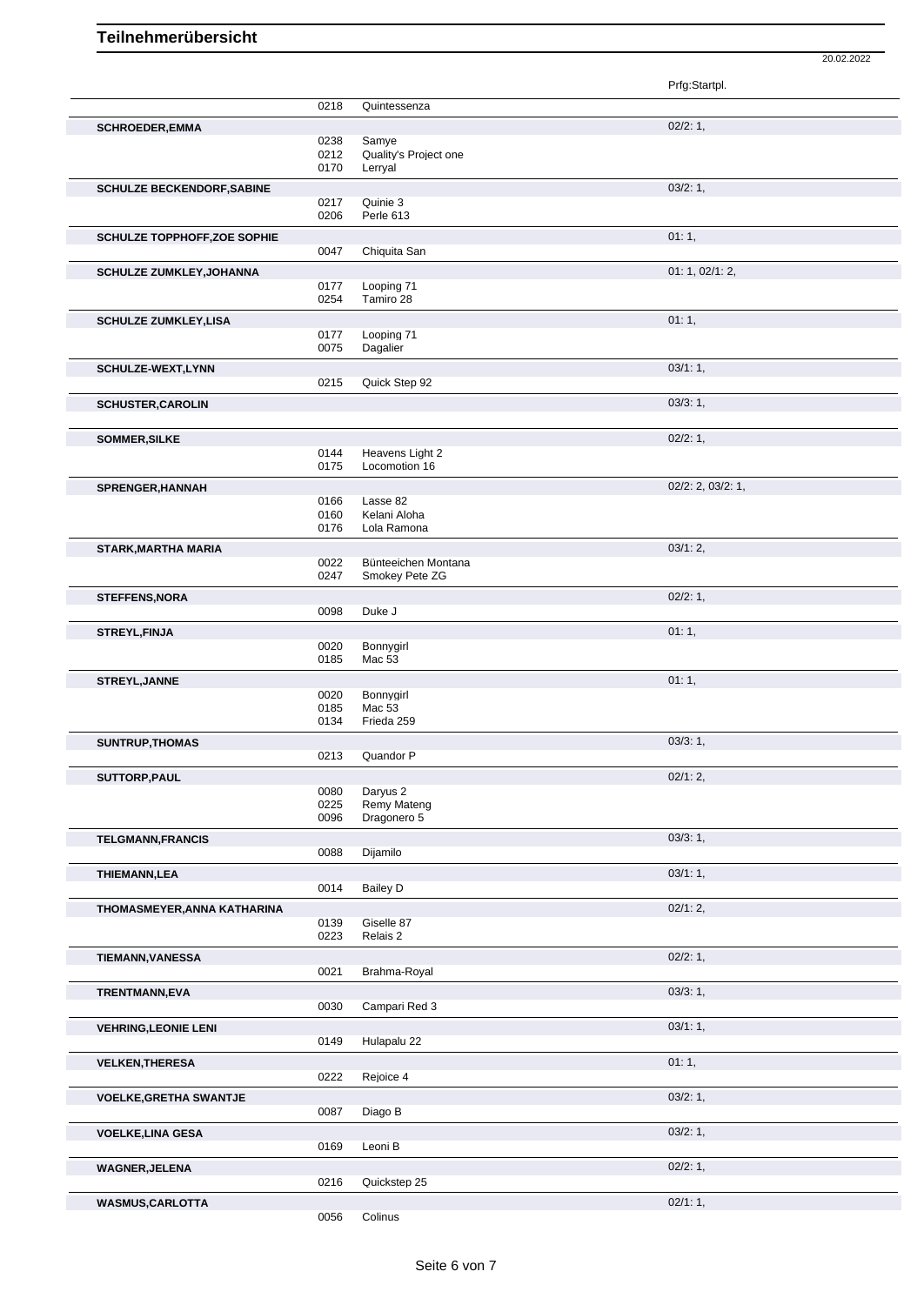Prfg:Startpl. 0218 Quintessenza **SCHROEDER, EMMA** 02/2: 1, 02/38 Samve 02/2: 1, 02/2: 1, 02/2: 1, 02/2: 1, 02/2: 1, 02/2: 1, 02/2: 1, 02/2: 1, 02/2: 1, 02/2: 1, 02/2: 1, 02/2: 1, 02/2: 1, 02/2: 1, 02/2: 1, 02/2: 1, 02/2: 1, 02/2: 1, 02/2: 1, 02/2: 1, 02/ Samye 0212 Quality's Project one 0170 Lerryal **SCHULZE BECKENDORF,SABINE** 03/2: 1, 0217 Quinie 3 0206 Perle 613 **SCHULZE TOPPHOFF,ZOE SOPHIE DEALER SOF SOPHIE** 201: 1, 201: 1, 201: 1, 201: 1, 201: 1, 201: 1, 201: 1, 201: 1, 201: 1, 201: 1, 201: 1, 201: 1, 201: 1, 201: 1, 201: 1, 201: 1, 201: 1, 201: 1, 201: 1, 201: 1, 201: 2, 2, 2 0047 Chiquita San **SCHULZE ZUMKLEY,JOHANNA 01: 1, 02/1: 2,** 0177 Looping 71<br>0254 Tamiro 28 Tamiro 28 **SCHULZE ZUMKLEY,LISA** 01: 1, 01: 1, 01: 1, 01: 1, 01: 1, 01: 1, 01: 1, 01: 1, 01: 1, 01: 1, 01: 1, 01: 1, 01: 1, 00ping 71 0177 Looping 71<br>0075 Dagalier Dagalier **SCHULZE-WEXT,LYNN** 0215 Quick Step 92 03/1: 1, Quick Step 92 **SCHUSTER,CAROLIN** 03/3: 1, **SOMMER,SILKE** 02/2: 1, 0144 Heavens Light 2<br>0175 Locomotion 16 Locomotion 16 **SPRENGER, HANNAH** 02/2: 2, 03/2: 1,<br>0166 Lasse 82 0166 Lasse 82<br>0160 Kelani Alo 0160 Kelani Aloha<br>0176 Lola Ramona Lola Ramona **STARK, MARTHA MARIA** 03/1: 2, 03/1: 2, 03/1: 2, 03/1: 2, 03/1: 2, 03/1: 2, 03/1: 2, 03/1: 2, 03/1: 2, 03/1: 2, 03/1: 2, 03/1: 2, 05/22 Bünteeichen Montana 0022 Bünteeichen Montana<br>0247 Smokey Pete ZG Smokey Pete ZG **STEFFENS,NORA** 02/2: 1,<br>
02/2: 1,<br>
0098 Duke J Duke J **STREYL,FINJA** 01: 1, 0020 Bonnygirl 02: 1, 0021 1, 0021 1, 0021 1, 0021 1, 0021 1, 0021 1, 0021 1, 0021 1, 0021 1, 0021 1, 0021 1, 0021 1, 0021 1, 0021 1, 0021 1, 0021 1, 0021 1, 0021 1, 0021 1, 0021 1, 0021 1, 0021 1, 00 Bonnygirl 0185 Mac 53 **STREYL,JANNE** 01: 1, 0020 Bonnygirl 0185 Mac 53 0134 Frieda 259 **SUNTRUP,THOMAS** 03/3: 1, 0213 Quandor P **SUTTORP,PAUL** 02/1: 2, 0080 Daryus 2<br>0225 Remy Ma 0225 Remy Mateng<br>0096 Dragonero 5 Dragonero 5 **TELGMANN,FRANCIS** 03/3: 1, 03/3: 1, 03/3: 1, 03/3: 1, 03/4: 1, 03/4: 1, 03/4: 1, 03/4: 1, 03/4: 1, 03/4: 1, 03/4: 1, 03/4: 1, 03/4: 1, 03/4: 1, 03/4: 1, 03/4: 1, 03/4: 1, 03/4: 1, 03/4: 1, 03/4: 1, 03/4: 1, 03/4: 1, 03/4: Dijamilo **THIEMANN, LEA** 03/1: 1, 03/1: 1, 03/1: 1, 03/1: 1, 03/1: 1, 03/1: 1, 03/1: 1, 03/1: 1, 03/1: 1, 03/1: 1, 03/1: 1, 03/1: 1, 03/1: 1, 03/1: 1, 03/1: 1, 03/1: 1, 03/1: 1, 0014 Bailey D **THOMASMEYER, ANNA KATHARINA** 0139 Giselle 87 Giselle 87 Contract 202/1: 2, 0139 Giselle 87<br>0223 Relais 2 Relais 2 **TIEMANN,VANESSA** 02/2: 1, 0021 Brahma-Royal **TRENTMANN,EVA** 03/3: 1, 0030 Campari Red 3 **VEHRING,LEONIE LENI** 03/1: 1, 0149 Hulapalu 22 **VELKEN,THERESA** 01: 1, 0222 Rejoice 4 Rejoice 4 **VOELKE,GRETHA SWANTJE** 0087 Diago B 03/2: 1, Diago B **VOELKE,LINA GESA** 03/2: 1,<br>
03/2: 1,<br>
0169 Leoni B Leoni B **WAGNER,JELENA** 02/2: 1, 0216 Quickstep 25 **WASMUS,CARLOTTA** 02/1: 1,

20.02.2022

0056 Colinus